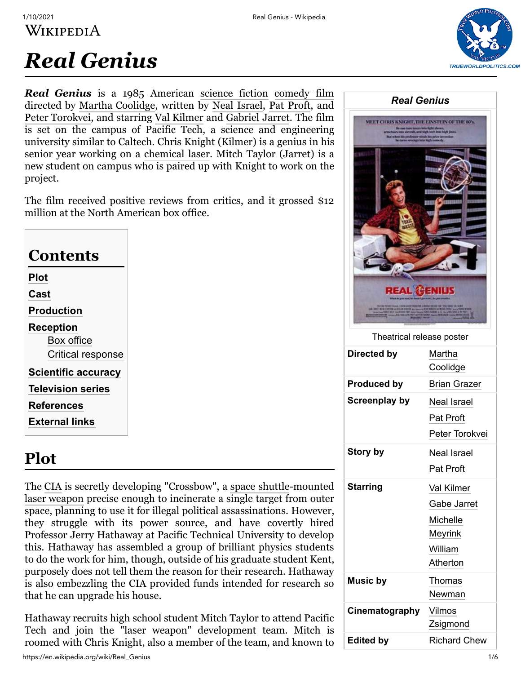

# *Real Genius*

*Real Genius* is a 1985 American [science fiction](https://en.wikipedia.org/wiki/Science_fiction_film) [comedy film](https://en.wikipedia.org/wiki/Comedy_film) directed by [Martha Coolidge](https://en.wikipedia.org/wiki/Martha_Coolidge), written by [Neal Israel,](https://en.wikipedia.org/wiki/Neal_Israel) [Pat Proft](https://en.wikipedia.org/wiki/Pat_Proft), and [Peter Torokvei,](https://en.wikipedia.org/wiki/Peter_Torokvei) and starring [Val Kilmer](https://en.wikipedia.org/wiki/Val_Kilmer) and [Gabriel Jarret](https://en.wikipedia.org/wiki/Gabriel_Jarret). The film is set on the campus of Pacific Tech, a science and engineering university similar to [Caltech.](https://en.wikipedia.org/wiki/Caltech) Chris Knight (Kilmer) is a genius in his senior year working on a [chemical laser](https://en.wikipedia.org/wiki/Chemical_laser). Mitch Taylor (Jarret) is a new student on campus who is paired up with Knight to work on the project.

The film received positive reviews from critics, and it grossed \$12 million at the North American box office.

| Contents                   |  |  |
|----------------------------|--|--|
| Plot                       |  |  |
| Cast                       |  |  |
| <b>Production</b>          |  |  |
| <b>Reception</b>           |  |  |
| Box office                 |  |  |
| Critical response          |  |  |
| <b>Scientific accuracy</b> |  |  |
| <b>Television series</b>   |  |  |
| <b>References</b>          |  |  |
| External links             |  |  |

# <span id="page-0-0"></span>**Plot**

The [CIA](https://en.wikipedia.org/wiki/Central_Intelligence_Agency) is secretly developing "Crossbow", a [space shuttle](https://en.wikipedia.org/wiki/Space_shuttle)-mounted [laser weapon](https://en.wikipedia.org/wiki/Laser_weapon) precise enough to incinerate a single target from outer space, planning to use it for illegal political assassinations. However, they struggle with its power source, and have covertly hired Professor Jerry Hathaway at Pacific Technical University to develop this. Hathaway has assembled a group of brilliant physics students to do the work for him, though, outside of his graduate student Kent, purposely does not tell them the reason for their research. Hathaway is also embezzling the CIA provided funds intended for research so that he can upgrade his house.

Hathaway recruits high school student Mitch Taylor to attend Pacific Tech and join the "laser weapon" development team. Mitch is roomed with Chris Knight, also a member of the team, and known to

| <b>Real Genius</b>                           |                                                                         |  |
|----------------------------------------------|-------------------------------------------------------------------------|--|
| MEET CHRIS KNIGHT, THE EINSTEIN OF THE 80's. |                                                                         |  |
| Theatrical release poster                    |                                                                         |  |
| Directed by                                  | Martha<br>Coolidge                                                      |  |
| <b>Produced by</b>                           | <b>Brian Grazer</b>                                                     |  |
| <b>Screenplay by</b>                         | Neal Israel<br>Pat Proft<br>Peter Torokvei                              |  |
| Story by                                     | <b>Neal Israel</b><br>Pat Proft                                         |  |
| <b>Starring</b>                              | Val Kilmer<br>Gabe Jarret<br>Michelle<br>Meyrink<br>William<br>Atherton |  |
| <b>Music by</b>                              | Thomas<br>Newman                                                        |  |
| Cinematography                               | Vilmos<br>Zsigmond                                                      |  |
|                                              |                                                                         |  |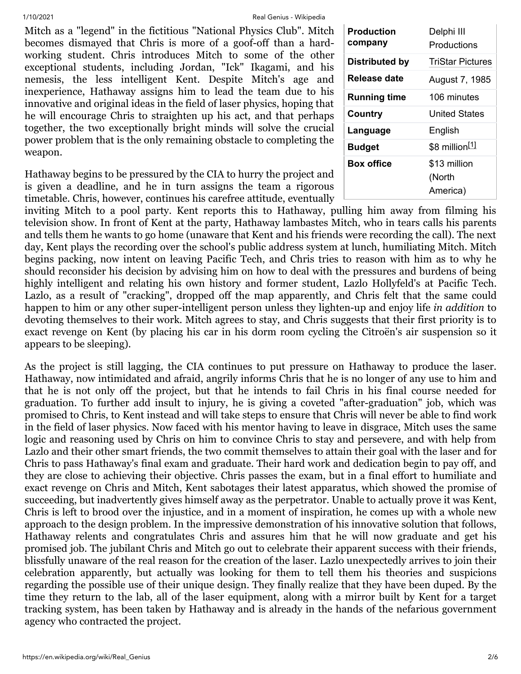1/10/2021 Real Genius - Wikipedia

Mitch as a "legend" in the fictitious "National Physics Club". Mitch becomes dismayed that Chris is more of a goof-off than a hardworking student. Chris introduces Mitch to some of the other exceptional students, including Jordan, "Ick" Ikagami, and his nemesis, the less intelligent Kent. Despite Mitch's age and inexperience, Hathaway assigns him to lead the team due to his innovative and original ideas in the field of laser physics, hoping that he will encourage Chris to straighten up his act, and that perhaps together, the two exceptionally bright minds will solve the crucial power problem that is the only remaining obstacle to completing the weapon.

Hathaway begins to be pressured by the CIA to hurry the project and is given a deadline, and he in turn assigns the team a rigorous timetable. Chris, however, continues his carefree attitude, eventually

| Production<br>company | Delphi III<br>Productions          |
|-----------------------|------------------------------------|
| Distributed by        | <b>TriStar Pictures</b>            |
| Release date          | August 7, 1985                     |
| <b>Running time</b>   | 106 minutes                        |
| Country               | United States                      |
| Language              | English                            |
| <b>Budget</b>         | \$8 million <sup>[1]</sup>         |
| <b>Box office</b>     | \$13 million<br>(North<br>America) |

inviting Mitch to a pool party. Kent reports this to Hathaway, pulling him away from filming his television show. In front of Kent at the party, Hathaway lambastes Mitch, who in tears calls his parents and tells them he wants to go home (unaware that Kent and his friends were recording the call). The next day, Kent plays the recording over the school's public address system at lunch, humiliating Mitch. Mitch begins packing, now intent on leaving Pacific Tech, and Chris tries to reason with him as to why he should reconsider his decision by advising him on how to deal with the pressures and burdens of being highly intelligent and relating his own history and former student, Lazlo Hollyfeld's at Pacific Tech. Lazlo, as a result of "cracking", dropped off the map apparently, and Chris felt that the same could happen to him or any other super-intelligent person unless they lighten-up and enjoy life *in addition* to devoting themselves to their work. Mitch agrees to stay, and Chris suggests that their first priority is to exact revenge on Kent (by placing his car in his dorm room cycling the Citroën's air suspension so it appears to be sleeping).

As the project is still lagging, the CIA continues to put pressure on Hathaway to produce the laser. Hathaway, now intimidated and afraid, angrily informs Chris that he is no longer of any use to him and that he is not only off the project, but that he intends to fail Chris in his final course needed for graduation. To further add insult to injury, he is giving a coveted "after-graduation" job, which was promised to Chris, to Kent instead and will take steps to ensure that Chris will never be able to find work in the field of laser physics. Now faced with his mentor having to leave in disgrace, Mitch uses the same logic and reasoning used by Chris on him to convince Chris to stay and persevere, and with help from Lazlo and their other smart friends, the two commit themselves to attain their goal with the laser and for Chris to pass Hathaway's final exam and graduate. Their hard work and dedication begin to pay off, and they are close to achieving their objective. Chris passes the exam, but in a final effort to humiliate and exact revenge on Chris and Mitch, Kent sabotages their latest apparatus, which showed the promise of succeeding, but inadvertently gives himself away as the perpetrator. Unable to actually prove it was Kent, Chris is left to brood over the injustice, and in a moment of inspiration, he comes up with a whole new approach to the design problem. In the impressive demonstration of his innovative solution that follows, Hathaway relents and congratulates Chris and assures him that he will now graduate and get his promised job. The jubilant Chris and Mitch go out to celebrate their apparent success with their friends, blissfully unaware of the real reason for the creation of the laser. Lazlo unexpectedly arrives to join their celebration apparently, but actually was looking for them to tell them his theories and suspicions regarding the possible use of their unique design. They finally realize that they have been duped. By the time they return to the lab, all of the laser equipment, along with a mirror built by Kent for a target tracking system, has been taken by Hathaway and is already in the hands of the nefarious government agency who contracted the project.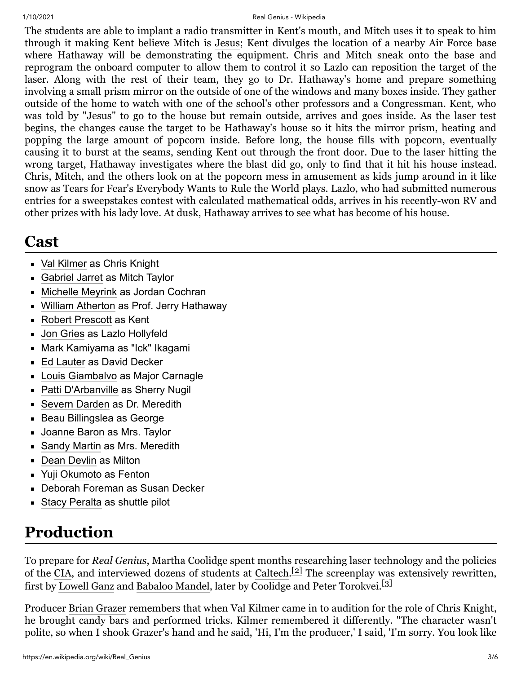#### 1/10/2021 Real Genius - Wikipedia

The students are able to implant a radio transmitter in Kent's mouth, and Mitch uses it to speak to him through it making Kent believe Mitch is [Jesus](https://en.wikipedia.org/wiki/Jesus); Kent divulges the location of a nearby Air Force base where Hathaway will be demonstrating the equipment. Chris and Mitch sneak onto the base and reprogram the onboard computer to allow them to control it so Lazlo can reposition the target of the laser. Along with the rest of their team, they go to Dr. Hathaway's home and prepare something involving a small prism mirror on the outside of one of the windows and many boxes inside. They gather outside of the home to watch with one of the school's other professors and a Congressman. Kent, who was told by "Jesus" to go to the house but remain outside, arrives and goes inside. As the laser test begins, the changes cause the target to be Hathaway's house so it hits the mirror prism, heating and popping the large amount of popcorn inside. Before long, the house fills with popcorn, eventually causing it to burst at the seams, sending Kent out through the front door. Due to the laser hitting the wrong target, Hathaway investigates where the blast did go, only to find that it hit his house instead. Chris, Mitch, and the others look on at the popcorn mess in amusement as kids jump around in it like snow as Tears for Fear's Everybody Wants to Rule the World plays. Lazlo, who had submitted numerous entries for a sweepstakes contest with calculated mathematical odds, arrives in his recently-won RV and other prizes with his lady love. At dusk, Hathaway arrives to see what has become of his house.

## <span id="page-2-0"></span>**Cast**

- [Val Kilmer](https://en.wikipedia.org/wiki/Val_Kilmer) as Chris Knight
- **[Gabriel Jarret](https://en.wikipedia.org/wiki/Gabriel_Jarret) as Mitch Taylor**
- **[Michelle Meyrink](https://en.wikipedia.org/wiki/Michelle_Meyrink) as Jordan Cochran**
- [William Atherton](https://en.wikipedia.org/wiki/William_Atherton) as Prof. Jerry Hathaway
- [Robert Prescott](https://en.wikipedia.org/wiki/Robert_Prescott_(actor)) as Kent
- **[Jon Gries](https://en.wikipedia.org/wiki/Jon_Gries) as Lazlo Hollyfeld**
- Mark Kamiyama as "Ick" Ikagami
- [Ed Lauter](https://en.wikipedia.org/wiki/Ed_Lauter) as David Decker
- **[Louis Giambalvo](https://en.wikipedia.org/wiki/Louis_Giambalvo) as Major Carnagle**
- **[Patti D'Arbanville](https://en.wikipedia.org/wiki/Patti_D%27Arbanville) as Sherry Nugil**
- **[Severn Darden](https://en.wikipedia.org/wiki/Severn_Darden) as Dr. Meredith**
- **[Beau Billingslea](https://en.wikipedia.org/wiki/Beau_Billingslea) as George**
- **[Joanne Baron](https://en.wikipedia.org/wiki/Joanne_Baron) as Mrs. Taylor**
- **[Sandy Martin](https://en.wikipedia.org/wiki/Sandy_Martin) as Mrs. Meredith**
- **[Dean Devlin](https://en.wikipedia.org/wiki/Dean_Devlin) as Milton**
- [Yuji Okumoto](https://en.wikipedia.org/wiki/Yuji_Okumoto) as Fenton
- [Deborah Foreman](https://en.wikipedia.org/wiki/Deborah_Foreman) as Susan Decker
- **[Stacy Peralta](https://en.wikipedia.org/wiki/Stacy_Peralta) as shuttle pilot**

# <span id="page-2-1"></span>**Production**

To prepare for *Real Genius*, Martha Coolidge spent months researching laser technology and the policies of the [CIA](https://en.wikipedia.org/wiki/Central_Intelligence_Agency), and interviewed dozens of students at [Caltech.](https://en.wikipedia.org/wiki/California_Institute_of_Technology)<sup>[\[2\]](#page-4-4)</sup> The screenplay was extensively rewritten, first by [Lowell Ganz](https://en.wikipedia.org/wiki/Lowell_Ganz) and [Babaloo Mandel](https://en.wikipedia.org/wiki/Babaloo_Mandel), later by Coolidge and Peter Torokvei.<sup>[\[3\]](#page-4-5)</sup>

Producer [Brian Grazer](https://en.wikipedia.org/wiki/Brian_Grazer) remembers that when Val Kilmer came in to audition for the role of Chris Knight, he brought candy bars and performed tricks. Kilmer remembered it differently. "The character wasn't polite, so when I shook Grazer's hand and he said, 'Hi, I'm the producer,' I said, 'I'm sorry. You look like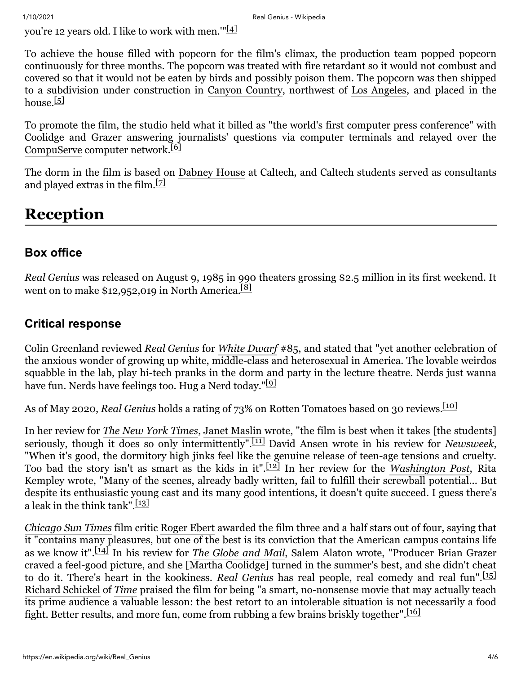you're 12 years old. I like to work with men."<sup>[\[4\]](#page-4-6)</sup>

To achieve the house filled with popcorn for the film's climax, the production team popped popcorn continuously for three months. The popcorn was treated with fire retardant so it would not combust and covered so that it would not be eaten by birds and possibly poison them. The popcorn was then shipped to a subdivision under construction in [Canyon Country](https://en.wikipedia.org/wiki/Canyon_Country,_Santa_Clarita,_California), northwest of [Los Angeles,](https://en.wikipedia.org/wiki/Los_Angeles) and placed in the house. $[5]$ 

To promote the film, the studio held what it billed as "the world's first computer press conference" with Coolidge and Grazer answering journalists' questions via computer terminals and relayed over the [CompuServe](https://en.wikipedia.org/wiki/CompuServe) computer network.<sup>[\[6\]](#page-4-8)</sup>

The dorm in the film is based on [Dabney House](https://en.wikipedia.org/wiki/House_System_at_the_California_Institute_of_Technology#Dabney_House) at Caltech, and Caltech students served as consultants and played extras in the film.[\[7\]](#page-4-9)

# <span id="page-3-0"></span>**Reception**

### <span id="page-3-1"></span>**Box office**

*Real Genius* was released on August 9, 1985 in 990 theaters grossing \$2.5 million in its first weekend. It went on to make \$12,952,019 in North America.<sup>[\[8\]](#page-4-10)</sup>

#### <span id="page-3-2"></span>**Critical response**

Colin Greenland reviewed *Real Genius* for *[White Dwarf](https://en.wikipedia.org/wiki/White_Dwarf_(magazine))* #85, and stated that "yet another celebration of the anxious wonder of growing up white, middle-class and heterosexual in America. The lovable weirdos squabble in the lab, play hi-tech pranks in the dorm and party in the lecture theatre. Nerds just wanna have fun. Nerds have feelings too. Hug a Nerd today."<sup>[\[9\]](#page-4-11)</sup>

As of May 2020, *Real Genius* holds a rating of 73% on [Rotten Tomatoes](https://en.wikipedia.org/wiki/Rotten_Tomatoes) based on 30 reviews.[\[10\]](#page-4-12)

In her review for *[The New York Times](https://en.wikipedia.org/wiki/The_New_York_Times)*, [Janet Maslin](https://en.wikipedia.org/wiki/Janet_Maslin) wrote, "the film is best when it takes [the students] seriously, though it does so only intermittently".[\[11\]](#page-4-13) [David Ansen](https://en.wikipedia.org/wiki/David_Ansen) wrote in his review for *[Newsweek](https://en.wikipedia.org/wiki/Newsweek)*, "When it's good, the dormitory high jinks feel like the genuine release of teen-age tensions and cruelty. Too bad the story isn't as smart as the kids in it".[\[12\]](#page-5-1) In her review for the *[Washington Post](https://en.wikipedia.org/wiki/Washington_Post)*, Rita Kempley wrote, "Many of the scenes, already badly written, fail to fulfill their screwball potential... But despite its enthusiastic young cast and its many good intentions, it doesn't quite succeed. I guess there's a leak in the think tank".<sup>[\[13\]](#page-5-2)</sup>

*[Chicago Sun Times](https://en.wikipedia.org/wiki/Chicago_Sun_Times)* film critic [Roger Ebert](https://en.wikipedia.org/wiki/Roger_Ebert) awarded the film three and a half stars out of four, saying that it "contains many pleasures, but one of the best is its conviction that the American campus contains life as we know it".[\[14\]](#page-5-3) In his review for *[The Globe and Mail](https://en.wikipedia.org/wiki/The_Globe_and_Mail)*, Salem Alaton wrote, "Producer Brian Grazer craved a feel-good picture, and she [Martha Coolidge] turned in the summer's best, and she didn't cheat to do it. There's heart in the kookiness. *Real Genius* has real people, real comedy and real fun".[\[15\]](#page-5-4) [Richard Schickel](https://en.wikipedia.org/wiki/Richard_Schickel) of *[Time](https://en.wikipedia.org/wiki/Time_(magazine))* praised the film for being "a smart, no-nonsense movie that may actually teach its prime audience a valuable lesson: the best retort to an intolerable situation is not necessarily a food fight. Better results, and more fun, come from rubbing a few brains briskly together".<sup>[\[16\]](#page-5-5)</sup>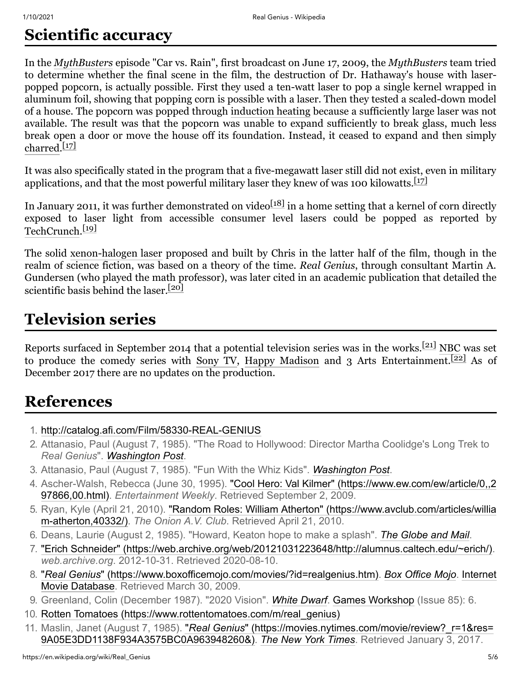# <span id="page-4-0"></span>**Scientific accuracy**

In the *[MythBusters](https://en.wikipedia.org/wiki/MythBusters)* episode "Car vs. Rain", first broadcast on June 17, 2009, the *MythBusters* team tried to determine whether the final scene in the film, the destruction of Dr. Hathaway's house with laserpopped popcorn, is actually possible. First they used a ten-watt laser to pop a single kernel wrapped in aluminum foil, showing that popping corn is possible with a laser. Then they tested a scaled-down model of a house. The popcorn was popped through [induction heating](https://en.wikipedia.org/wiki/Induction_heating) because a sufficiently large laser was not available. The result was that the popcorn was unable to expand sufficiently to break glass, much less break open a door or move the house off its foundation. Instead, it ceased to expand and then simply [charred](https://en.wikipedia.org/wiki/Char).[\[17\]](#page-5-6)

It was also specifically stated in the program that a five-megawatt laser still did not exist, even in military applications, and that the most powerful military laser they knew of was 100 kilowatts.<sup>[\[17\]](#page-5-6)</sup>

In January 2011, it was further demonstrated on video $^{[18]}$  $^{[18]}$  $^{[18]}$  in a home setting that a kernel of corn directly exposed to laser light from accessible consumer level lasers could be popped as reported by [TechCrunch.](https://en.wikipedia.org/wiki/TechCrunch) [\[19\]](#page-5-8)

The solid [xenon-halogen laser](https://en.wikipedia.org/wiki/Xenon_chloride_laser) proposed and built by Chris in the latter half of the film, though in the realm of science fiction, was based on a theory of the time. *Real Genius*, through consultant Martin A. Gundersen (who played the math professor), was later cited in an academic publication that detailed the scientific basis behind the laser.<sup>[\[20\]](#page-5-9)</sup>

# <span id="page-4-1"></span>**Television series**

Reports surfaced in September 2014 that a potential television series was in the works.[\[21\]](#page-5-10) [NBC](https://en.wikipedia.org/wiki/NBC) was set to produce the comedy series with [Sony TV,](https://en.wikipedia.org/wiki/Sony_TV) [Happy Madison](https://en.wikipedia.org/wiki/Happy_Madison) and 3 Arts Entertainment.<sup>[\[22\]](#page-5-11)</sup> As of December 2017 there are no updates on the production.

## <span id="page-4-2"></span>**References**

- <span id="page-4-3"></span>1. <http://catalog.afi.com/Film/58330-REAL-GENIUS>
- <span id="page-4-4"></span>2. Attanasio, Paul (August 7, 1985). "The Road to Hollywood: Director Martha Coolidge's Long Trek to *Real Genius*". *[Washington Post](https://en.wikipedia.org/wiki/Washington_Post)*.
- <span id="page-4-5"></span>3. Attanasio, Paul (August 7, 1985). "Fun With the Whiz Kids". *[Washington Post](https://en.wikipedia.org/wiki/Washington_Post)*.
- <span id="page-4-6"></span>4. [Ascher-Walsh, Rebecca \(June 30, 1995\). "Cool Hero: Val Kilmer" \(https://www.ew.com/ew/article/0,,2](https://www.ew.com/ew/article/0,,297866,00.html) 97866,00.html). *Entertainment Weekly*. Retrieved September 2, 2009.
- <span id="page-4-7"></span>5. [Ryan, Kyle \(April 21, 2010\). "Random Roles: William Atherton" \(https://www.avclub.com/articles/willia](https://www.avclub.com/articles/william-atherton,40332/) m-atherton,40332/). *The Onion A.V. Club*. Retrieved April 21, 2010.
- <span id="page-4-8"></span>6. Deans, Laurie (August 2, 1985). "Howard, Keaton hope to make a splash". *[The Globe and Mail](https://en.wikipedia.org/wiki/The_Globe_and_Mail)*.
- <span id="page-4-9"></span>7. ["Erich Schneider" \(https://web.archive.org/web/20121031223648/http://alumnus.caltech.edu/~erich/\).](https://web.archive.org/web/20121031223648/http://alumnus.caltech.edu/~erich/) *web.archive.org*. 2012-10-31. Retrieved 2020-08-10.
- <span id="page-4-10"></span>8. "*Real Genius*[" \(https://www.boxofficemojo.com/movies/?id=realgenius.htm\)](https://www.boxofficemojo.com/movies/?id=realgenius.htm)[.](https://en.wikipedia.org/wiki/Internet_Movie_Database) *[Box Office Mojo](https://en.wikipedia.org/wiki/Box_Office_Mojo)*. Internet Movie Database. Retrieved March 30, 2009.
- <span id="page-4-11"></span>9. Greenland, Colin (December 1987). "2020 Vision". *[White Dwarf](https://en.wikipedia.org/wiki/White_Dwarf_(magazine))*. [Games Workshop](https://en.wikipedia.org/wiki/Games_Workshop) (Issue 85): 6.
- <span id="page-4-12"></span>10. [Rotten Tomatoes \(https://www.rottentomatoes.com/m/real\\_genius\)](https://www.rottentomatoes.com/m/real_genius)
- <span id="page-4-13"></span>11. Maslin, Janet (August 7, 1985). "*Real Genius*[" \(https://movies.nytimes.com/movie/review?\\_r=1&res=](https://movies.nytimes.com/movie/review?_r=1&res=9A05E3DD1138F934A3575BC0A963948260&) 9A05E3DD1138F934A3575BC0A963948260&). *[The New York Times](https://en.wikipedia.org/wiki/The_New_York_Times)*. Retrieved January 3, 2017.